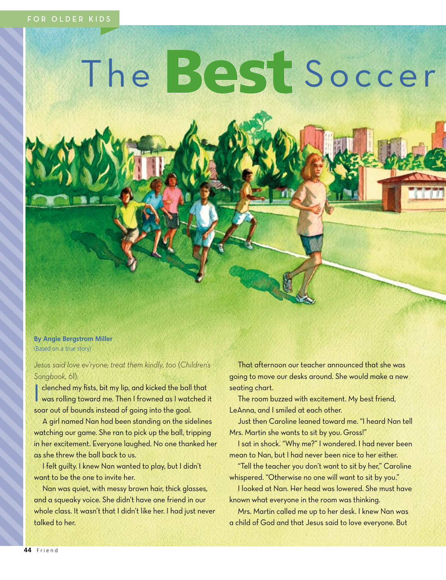# The Best Soccer

**By Angie Bergstrom Miller** (Based on a true story)

*Jesus said love ev'ryone; treat them kindly, too* (*Children's Songbook,* 61).

I was rolling toward me. Then I frowned as I watched it clenched my fists, bit my lip, and kicked the ball that soar out of bounds instead of going into the goal.

A girl named Nan had been standing on the sidelines watching our game. She ran to pick up the ball, tripping in her excitement. Everyone laughed. No one thanked her as she threw the ball back to us.

I felt guilty. I knew Nan wanted to play, but I didn't want to be the one to invite her.

Nan was quiet, with messy brown hair, thick glasses, and a squeaky voice. She didn't have one friend in our whole class. It wasn't that I didn't like her. I had just never talked to her.

That afternoon our teacher announced that she was going to move our desks around. She would make a new seating chart.

The room buzzed with excitement. My best friend, LeAnna, and I smiled at each other.

Just then Caroline leaned toward me. "I heard Nan tell Mrs. Martin she wants to sit by you. Gross!"

I sat in shock. "Why me?" I wondered. I had never been mean to Nan, but I had never been nice to her either.

"Tell the teacher you don't want to sit by her," Caroline whispered. "Otherwise no one will want to sit by you."

I looked at Nan. Her head was lowered. She must have known what everyone in the room was thinking.

Mrs. Martin called me up to her desk. I knew Nan was a child of God and that Jesus said to love everyone. But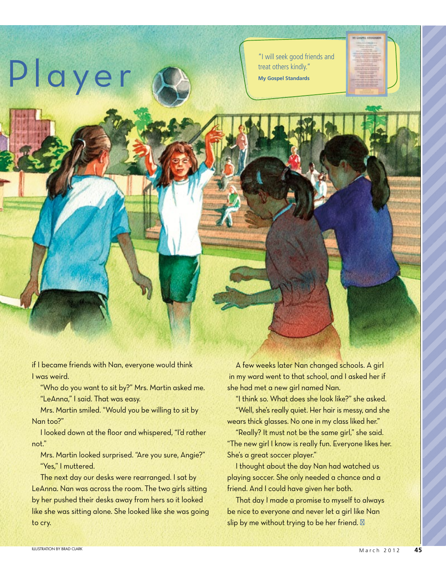"I will seek good friends and treat others kindly."

**My Gospel Standards**

if I became friends with Nan, everyone would think I was weird.

"Who do you want to sit by?" Mrs. Martin asked me. "LeAnna," I said. That was easy.

Mrs. Martin smiled. "Would you be willing to sit by Nan too?"

I looked down at the floor and whispered, "I'd rather not."

Mrs. Martin looked surprised. "Are you sure, Angie?" "Yes," I muttered.

The next day our desks were rearranged. I sat by LeAnna. Nan was across the room. The two girls sitting by her pushed their desks away from hers so it looked like she was sitting alone. She looked like she was going to cry.

A few weeks later Nan changed schools. A girl in my ward went to that school, and I asked her if she had met a new girl named Nan.

"I think so. What does she look like?" she asked. "Well, she's really quiet. Her hair is messy, and she wears thick glasses. No one in my class liked her."

"Really? It must not be the same girl," she said. "The new girl I know is really fun. Everyone likes her. She's a great soccer player."

I thought about the day Nan had watched us playing soccer. She only needed a chance and a friend. And I could have given her both.

That day I made a promise to myself to always be nice to everyone and never let a girl like Nan slip by me without trying to be her friend.

Playe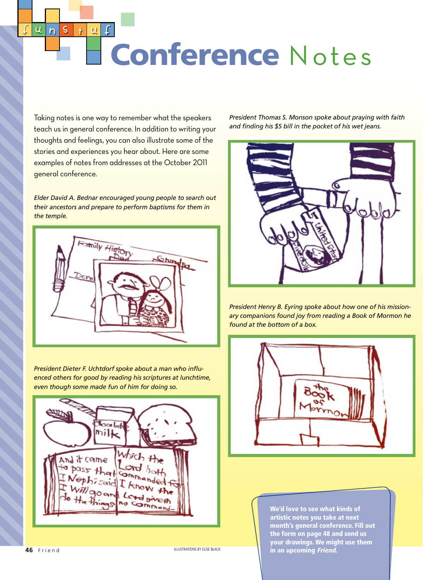$\mathbf u$ Conference Notes

Taking notes is one way to remember what the speakers teach us in general conference. In addition to writing your thoughts and feelings, you can also illustrate some of the stories and experiences you hear about. Here are some examples of notes from addresses at the October 2011 general conference.

 $\mathsf{S}$ 

 $\overline{h}$ 

 $\ddagger$ 

 $\overline{\mathbf{u}}$ 

*Elder David A. Bednar encouraged young people to search out their ancestors and prepare to perform baptisms for them in the temple.*



*President Dieter F. Uchtdorf spoke about a man who influenced others for good by reading his scriptures at lunchtime, even though some made fun of him for doing so.*



**46** Friend

ILLUSTRATIONS BY ELISE BLACK

*President Thomas S. Monson spoke about praying with faith and finding his \$5 bill in the pocket of his wet jeans.*



*President Henry B. Eyring spoke about how one of his missionary companions found joy from reading a Book of Mormon he found at the bottom of a box.*



We'd love to see what kinds of artistic notes you take at next month's general conference. Fill out the form on page 48 and send us your drawings. We might use them in an upcoming *Friend.*